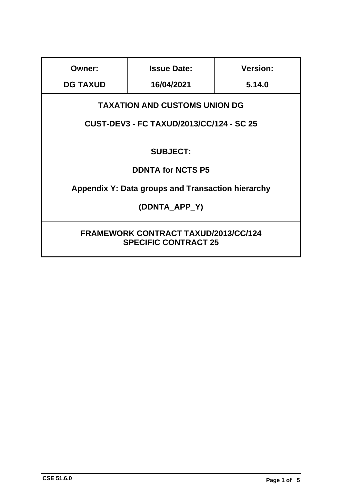| <b>Owner:</b>                                                              | <b>Issue Date:</b> | <b>Version:</b> |
|----------------------------------------------------------------------------|--------------------|-----------------|
| <b>DG TAXUD</b>                                                            | 16/04/2021         | 5.14.0          |
| <b>TAXATION AND CUSTOMS UNION DG</b>                                       |                    |                 |
| <b>CUST-DEV3 - FC TAXUD/2013/CC/124 - SC 25</b>                            |                    |                 |
| <b>SUBJECT:</b>                                                            |                    |                 |
| <b>DDNTA for NCTS P5</b>                                                   |                    |                 |
| Appendix Y: Data groups and Transaction hierarchy                          |                    |                 |
| (DDNTA APP Y)                                                              |                    |                 |
| <b>FRAMEWORK CONTRACT TAXUD/2013/CC/124</b><br><b>SPECIFIC CONTRACT 25</b> |                    |                 |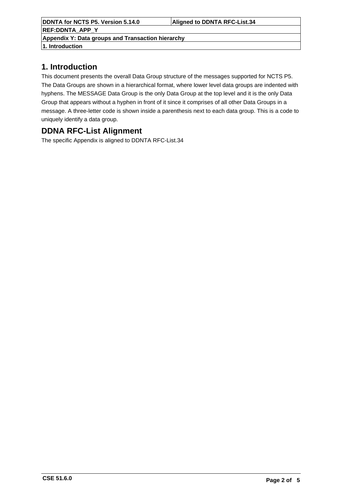**DDNTA for NCTS P5. Version 5.14.0 Aligned to DDNTA RFC-List.34 REF:DDNTA\_APP\_Y Appendix Y: Data groups and Transaction hierarchy**

**1. Introduction**

# **1. Introduction**

This document presents the overall Data Group structure of the messages supported for NCTS P5. The Data Groups are shown in a hierarchical format, where lower level data groups are indented with hyphens. The MESSAGE Data Group is the only Data Group at the top level and it is the only Data Group that appears without a hyphen in front of it since it comprises of all other Data Groups in a message. A three-letter code is shown inside a parenthesis next to each data group. This is a code to uniquely identify a data group.

# **DDNA RFC-List Alignment**

The specific Appendix is aligned to DDNTA RFC-List.34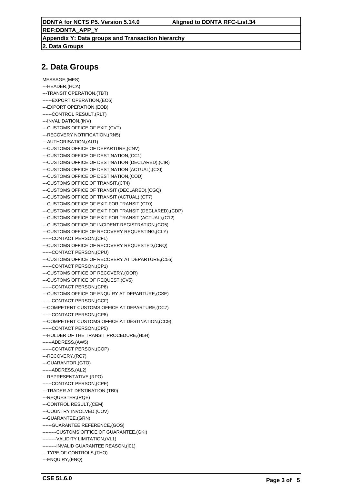**REF:DDNTA\_APP\_Y Appendix Y: Data groups and Transaction hierarchy**

**2. Data Groups**

## **2. Data Groups**

MESSAGE,(MES) ---HEADER,(HCA) ---TRANSIT OPERATION,(TBT) ------EXPORT OPERATION,(EO6) ---EXPORT OPERATION,(EOB) ------CONTROL RESULT,(RLT) ---INVALIDATION,(INV) ---CUSTOMS OFFICE OF EXIT,(CVT) ---RECOVERY NOTIFICATION,(RN5) ---AUTHORISATION,(AU1) ---CUSTOMS OFFICE OF DEPARTURE,(CNV) ---CUSTOMS OFFICE OF DESTINATION,(CC1) ---CUSTOMS OFFICE OF DESTINATION (DECLARED),(CIR) ---CUSTOMS OFFICE OF DESTINATION (ACTUAL),(CXI) ---CUSTOMS OFFICE OF DESTINATION,(COD) ---CUSTOMS OFFICE OF TRANSIT,(CT4) ---CUSTOMS OFFICE OF TRANSIT (DECLARED),(CGQ) ---CUSTOMS OFFICE OF TRANSIT (ACTUAL),(CT7) ---CUSTOMS OFFICE OF EXIT FOR TRANSIT,(CT0) ---CUSTOMS OFFICE OF EXIT FOR TRANSIT (DECLARED),(CDP) ---CUSTOMS OFFICE OF EXIT FOR TRANSIT (ACTUAL),(C12) ---CUSTOMS OFFICE OF INCIDENT REGISTRATION,(CO5) ---CUSTOMS OFFICE OF RECOVERY REQUESTING,(CLY) ------CONTACT PERSON,(CFL) ---CUSTOMS OFFICE OF RECOVERY REQUESTED,(CNQ) ------CONTACT PERSON,(CPU) ---CUSTOMS OFFICE OF RECOVERY AT DEPARTURE,(C56) ------CONTACT PERSON,(CP1) ---CUSTOMS OFFICE OF RECOVERY,(OOR) ---CUSTOMS OFFICE OF REQUEST,(CV5) ------CONTACT PERSON,(CP6) ---CUSTOMS OFFICE OF ENQUIRY AT DEPARTURE,(CSE) ------CONTACT PERSON,(CCF) ---COMPETENT CUSTOMS OFFICE AT DEPARTURE,(CC7) ------CONTACT PERSON,(CP8) ---COMPETENT CUSTOMS OFFICE AT DESTINATION,(CC9) ------CONTACT PERSON,(CP5) ---HOLDER OF THE TRANSIT PROCEDURE,(H5H) ------ADDRESS,(AW5) ------CONTACT PERSON,(COP) ---RECOVERY,(RC7) ---GUARANTOR,(GTO) ------ADDRESS,(AL2) ---REPRESENTATIVE,(RPO) ------CONTACT PERSON,(CPE) ---TRADER AT DESTINATION,(TB0) ---REQUESTER,(RQE) ---CONTROL RESULT,(CEM) ---COUNTRY INVOLVED,(COV) ---GUARANTEE,(GRN) ------GUARANTEE REFERENCE,(GOS) ---------CUSTOMS OFFICE OF GUARANTEE,(GKI) ---------VALIDITY LIMITATION,(VL1) ---------INVALID GUARANTEE REASON,(I01) ---TYPE OF CONTROLS,(THO) ---ENQUIRY,(ENQ)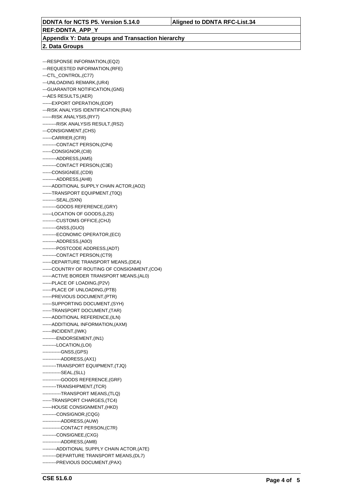## **REF:DDNTA\_APP\_Y Appendix Y: Data groups and Transaction hierarchy 2. Data Groups**

---RESPONSE INFORMATION,(EQ2) ---REQUESTED INFORMATION,(RFE) ---CTL\_CONTROL,(C77) ---UNLOADING REMARK,(UR4) ---GUARANTOR NOTIFICATION,(GN5) ---AES RESULTS,(AER) ------EXPORT OPERATION,(EOP) ---RISK ANALYSIS IDENTIFICATION,(RAI) ------RISK ANALYSIS,(RY7) ---------RISK ANALYSIS RESULT,(RS2) ---CONSIGNMENT,(CHS) ------CARRIER,(CFR) ---------CONTACT PERSON,(CP4) ------CONSIGNOR,(CI8) ---------ADDRESS,(AM5) ---------CONTACT PERSON,(C3E) ------CONSIGNEE,(CD9) ---------ADDRESS,(AH8) ------ADDITIONAL SUPPLY CHAIN ACTOR,(AO2) ------TRANSPORT EQUIPMENT,(T0Q) ---------SEAL,(SXN) ---------GOODS REFERENCE,(GRY) ------LOCATION OF GOODS,(L2S) ---------CUSTOMS OFFICE,(CHJ) ---------GNSS,(GUO) ---------ECONOMIC OPERATOR,(ECI) ---------ADDRESS,(A0O) ---------POSTCODE ADDRESS,(ADT) ---------CONTACT PERSON,(CT9) ------DEPARTURE TRANSPORT MEANS,(DEA) ------COUNTRY OF ROUTING OF CONSIGNMENT,(CO4) ------ACTIVE BORDER TRANSPORT MEANS,(AL0) ------PLACE OF LOADING,(P2V) ------PLACE OF UNLOADING,(PTB) ------PREVIOUS DOCUMENT,(PTR) ------SUPPORTING DOCUMENT,(SYH) ------TRANSPORT DOCUMENT,(TAR) ------ADDITIONAL REFERENCE,(ILN) ------ADDITIONAL INFORMATION,(AXM) ------INCIDENT,(IWK) ---------ENDORSEMENT,(IN1) ---------LOCATION,(LOI) ------------GNSS,(GPS) ------------ADDRESS,(AX1) ---------TRANSPORT EQUIPMENT,(TJQ) ------------SEAL,(SLL) ------------GOODS REFERENCE,(GRF) ---------TRANSHIPMENT,(TCR) ------------TRANSPORT MEANS,(TLQ) ------TRANSPORT CHARGES,(TC4) ------HOUSE CONSIGNMENT,(HKD) ---------CONSIGNOR,(CQG) ------------ADDRESS,(AUW) ------------CONTACT PERSON,(C7R) ---------CONSIGNEE,(CXG) ------------ADDRESS,(AM8) ---------ADDITIONAL SUPPLY CHAIN ACTOR,(A7E) ---------DEPARTURE TRANSPORT MEANS,(DL7) ---------PREVIOUS DOCUMENT,(PAX)